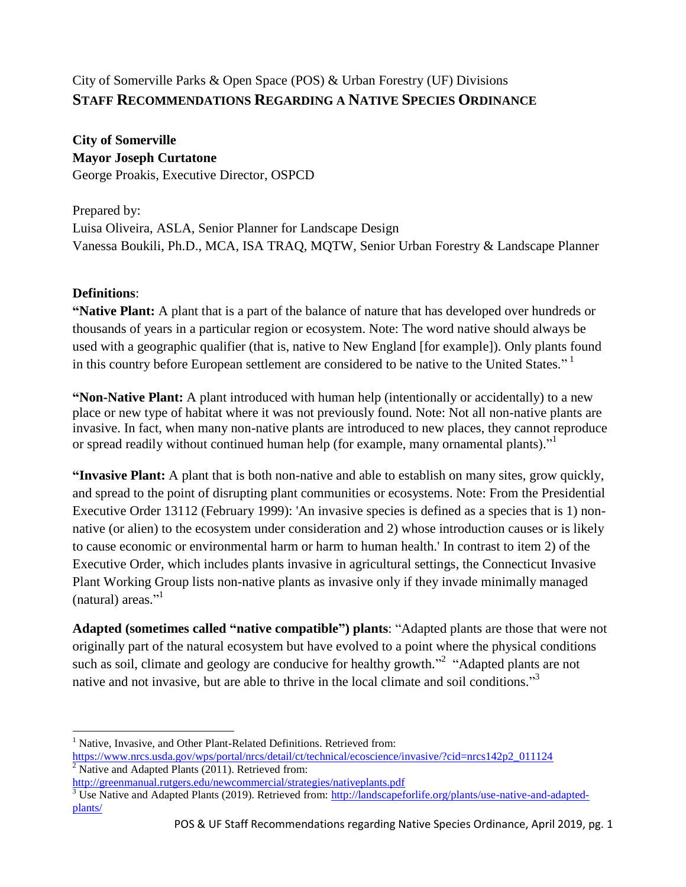# City of Somerville Parks & Open Space (POS) & Urban Forestry (UF) Divisions **STAFF RECOMMENDATIONS REGARDING A NATIVE SPECIES ORDINANCE**

**City of Somerville Mayor Joseph Curtatone** George Proakis, Executive Director, OSPCD

Prepared by: Luisa Oliveira, ASLA, Senior Planner for Landscape Design Vanessa Boukili, Ph.D., MCA, ISA TRAQ, MQTW, Senior Urban Forestry & Landscape Planner

## **Definitions**:

 $\overline{a}$ 

**"Native Plant:** A plant that is a part of the balance of nature that has developed over hundreds or thousands of years in a particular region or ecosystem. Note: The word native should always be used with a geographic qualifier (that is, native to New England [for example]). Only plants found in this country before European settlement are considered to be native to the United States."<sup>1</sup>

<span id="page-0-0"></span>**"Non-Native Plant:** A plant introduced with human help (intentionally or accidentally) to a new place or new type of habitat where it was not previously found. Note: Not all non-native plants are invasive. In fact, when many non-native plants are introduced to new places, they cannot reproduce or spread readily without continued human help (for example, many ornamental plants)."<sup>1</sup>

**"Invasive Plant:** A plant that is both non-native and able to establish on many sites, grow quickly, and spread to the point of disrupting plant communities or ecosystems. Note: From the Presidential Executive Order 13112 (February 1999): 'An invasive species is defined as a species that is 1) nonnative (or alien) to the ecosystem under consideration and 2) whose introduction causes or is likely to cause economic or environmental harm or harm to human health.' In contrast to item 2) of the Executive Order, which includes plants invasive in agricultural settings, the Connecticut Invasive Plant Working Group lists non-native plants as invasive only if they invade minimally managed (natural) areas."<sup>[1](#page-0-0)</sup>

**Adapted (sometimes called "native compatible") plants**: "Adapted plants are those that were not originally part of the natural ecosystem but have evolved to a point where the physical conditions such as soil, climate and geology are conducive for healthy growth. $2^2$  "Adapted plants are not native and not invasive, but are able to thrive in the local climate and soil conditions."<sup>3</sup>

<sup>&</sup>lt;sup>1</sup> Native, Invasive, and Other Plant-Related Definitions. Retrieved from:

[https://www.nrcs.usda.gov/wps/portal/nrcs/detail/ct/technical/ecoscience/invasive/?cid=nrcs142p2\\_011124](https://www.nrcs.usda.gov/wps/portal/nrcs/detail/ct/technical/ecoscience/invasive/?cid=nrcs142p2_011124)  $\overline{2}$  Native and Adapted Plants (2011). Retrieved from:

<http://greenmanual.rutgers.edu/newcommercial/strategies/nativeplants.pdf>

 $3 \text{ Use } \text{Native}$  and Adapted Plants (2019). Retrieved from: [http://landscapeforlife.org/plants/use-native-and-adapted](http://landscapeforlife.org/plants/use-native-and-adapted-plants/)[plants/](http://landscapeforlife.org/plants/use-native-and-adapted-plants/)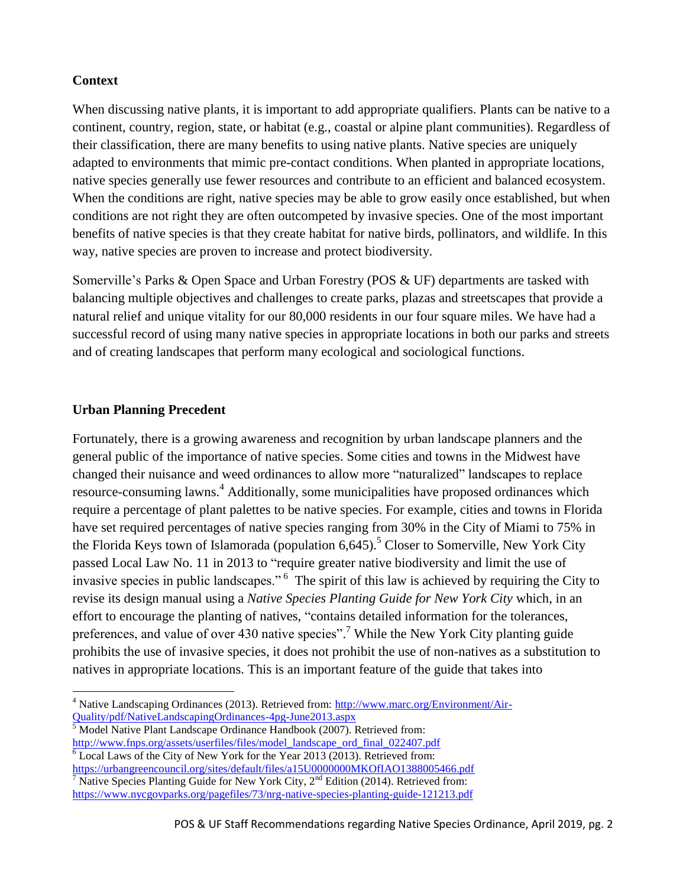#### **Context**

When discussing native plants, it is important to add appropriate qualifiers. Plants can be native to a continent, country, region, state, or habitat (e.g., coastal or alpine plant communities). Regardless of their classification, there are many benefits to using native plants. Native species are uniquely adapted to environments that mimic pre-contact conditions. When planted in appropriate locations, native species generally use fewer resources and contribute to an efficient and balanced ecosystem. When the conditions are right, native species may be able to grow easily once established, but when conditions are not right they are often outcompeted by invasive species. One of the most important benefits of native species is that they create habitat for native birds, pollinators, and wildlife. In this way, native species are proven to increase and protect biodiversity.

Somerville's Parks & Open Space and Urban Forestry (POS & UF) departments are tasked with balancing multiple objectives and challenges to create parks, plazas and streetscapes that provide a natural relief and unique vitality for our 80,000 residents in our four square miles. We have had a successful record of using many native species in appropriate locations in both our parks and streets and of creating landscapes that perform many ecological and sociological functions.

## **Urban Planning Precedent**

Fortunately, there is a growing awareness and recognition by urban landscape planners and the general public of the importance of native species. Some cities and towns in the Midwest have changed their nuisance and weed ordinances to allow more "naturalized" landscapes to replace resource-consuming lawns.<sup>4</sup> Additionally, some municipalities have proposed ordinances which require a percentage of plant palettes to be native species. For example, cities and towns in Florida have set required percentages of native species ranging from 30% in the City of Miami to 75% in the Florida Keys town of Islamorada (population  $6.645$ ).<sup>5</sup> Closer to Somerville, New York City passed Local Law No. 11 in 2013 to "require greater native biodiversity and limit the use of invasive species in public landscapes."<sup>6</sup> The spirit of this law is achieved by requiring the City to revise its design manual using a *Native Species Planting Guide for New York City* which, in an effort to encourage the planting of natives, "contains detailed information for the tolerances, preferences, and value of over 430 native species".<sup>7</sup> While the New York City planting guide prohibits the use of invasive species, it does not prohibit the use of non-natives as a substitution to natives in appropriate locations. This is an important feature of the guide that takes into

<https://urbangreencouncil.org/sites/default/files/a15U0000000MKOfIAO1388005466.pdf>  $\frac{1}{7}$  Native Species Planting Guide for New York City,  $2^{nd}$  Edition (2014). Retrieved from:

<span id="page-1-0"></span> $\overline{a}$ <sup>4</sup> Native Landscaping Ordinances (2013). Retrieved from: [http://www.marc.org/Environment/Air-](http://www.marc.org/Environment/Air-Quality/pdf/NativeLandscapingOrdinances-4pg-June2013.aspx)[Quality/pdf/NativeLandscapingOrdinances-4pg-June2013.aspx](http://www.marc.org/Environment/Air-Quality/pdf/NativeLandscapingOrdinances-4pg-June2013.aspx)

 $\frac{5}{3}$  Model Native Plant Landscape Ordinance Handbook (2007). Retrieved from: [http://www.fnps.org/assets/userfiles/files/model\\_landscape\\_ord\\_final\\_022407.pdf](http://www.fnps.org/assets/userfiles/files/model_landscape_ord_final_022407.pdf)  $6$  Local Laws of the City of New York for the Year 2013 (2013). Retrieved from:

<https://www.nycgovparks.org/pagefiles/73/nrg-native-species-planting-guide-121213.pdf>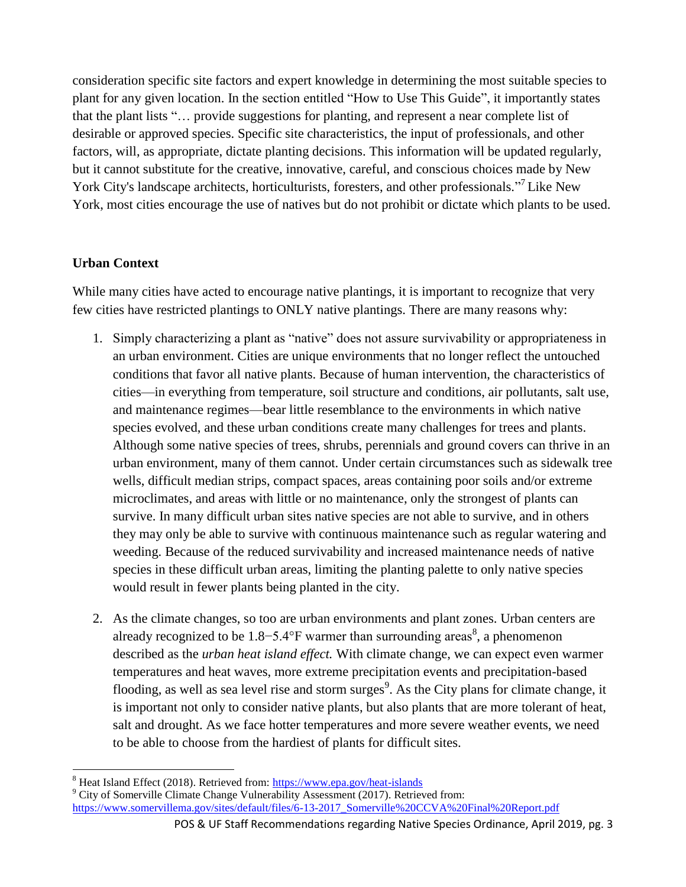consideration specific site factors and expert knowledge in determining the most suitable species to plant for any given location. In the section entitled "How to Use This Guide", it importantly states that the plant lists "… provide suggestions for planting, and represent a near complete list of desirable or approved species. Specific site characteristics, the input of professionals, and other factors, will, as appropriate, dictate planting decisions. This information will be updated regularly, but it cannot substitute for the creative, innovative, careful, and conscious choices made by New York City's landscape architects, horticulturists, foresters, and other professionals."<sup>[7](#page-1-0)</sup> Like New York, most cities encourage the use of natives but do not prohibit or dictate which plants to be used.

#### **Urban Context**

 $\overline{a}$ 

While many cities have acted to encourage native plantings, it is important to recognize that very few cities have restricted plantings to ONLY native plantings. There are many reasons why:

- 1. Simply characterizing a plant as "native" does not assure survivability or appropriateness in an urban environment. Cities are unique environments that no longer reflect the untouched conditions that favor all native plants. Because of human intervention, the characteristics of cities—in everything from temperature, soil structure and conditions, air pollutants, salt use, and maintenance regimes—bear little resemblance to the environments in which native species evolved, and these urban conditions create many challenges for trees and plants. Although some native species of trees, shrubs, perennials and ground covers can thrive in an urban environment, many of them cannot. Under certain circumstances such as sidewalk tree wells, difficult median strips, compact spaces, areas containing poor soils and/or extreme microclimates, and areas with little or no maintenance, only the strongest of plants can survive. In many difficult urban sites native species are not able to survive, and in others they may only be able to survive with continuous maintenance such as regular watering and weeding. Because of the reduced survivability and increased maintenance needs of native species in these difficult urban areas, limiting the planting palette to only native species would result in fewer plants being planted in the city.
- 2. As the climate changes, so too are urban environments and plant zones. Urban centers are already recognized to be  $1.8-5.4$ °F warmer than surrounding areas<sup>8</sup>, a phenomenon described as the *urban heat island effect.* With climate change, we can expect even warmer temperatures and heat waves, more extreme precipitation events and precipitation-based flooding, as well as sea level rise and storm surges<sup>9</sup>. As the City plans for climate change, it is important not only to consider native plants, but also plants that are more tolerant of heat, salt and drought. As we face hotter temperatures and more severe weather events, we need to be able to choose from the hardiest of plants for difficult sites.

<sup>&</sup>lt;sup>8</sup> Heat Island Effect (2018). Retrieved from:<https://www.epa.gov/heat-islands>

<sup>&</sup>lt;sup>9</sup> City of Somerville Climate Change Vulnerability Assessment (2017). Retrieved from: [https://www.somervillema.gov/sites/default/files/6-13-2017\\_Somerville%20CCVA%20Final%20Report.pdf](https://www.somervillema.gov/sites/default/files/6-13-2017_Somerville%20CCVA%20Final%20Report.pdf)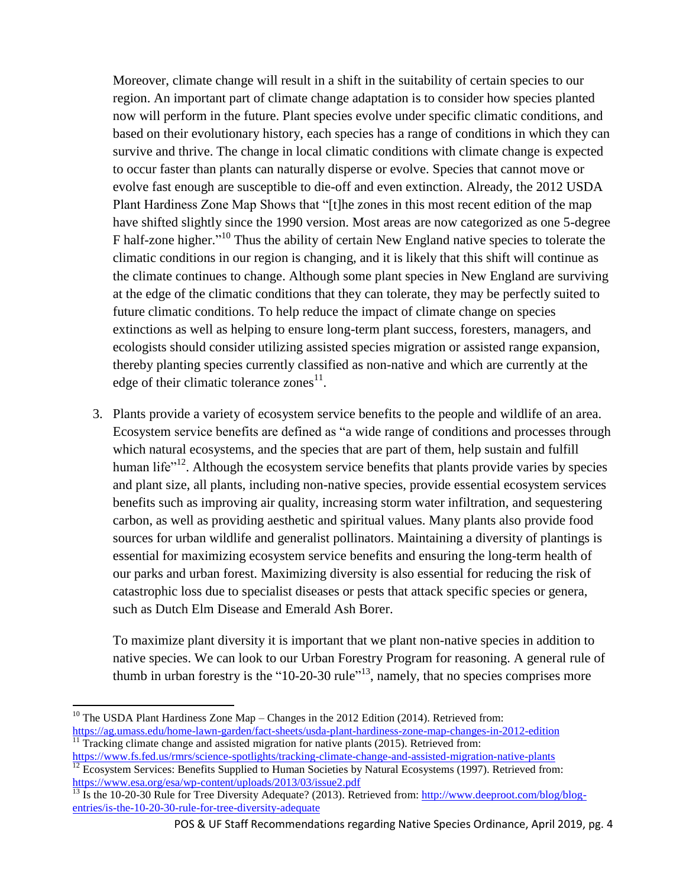Moreover, climate change will result in a shift in the suitability of certain species to our region. An important part of climate change adaptation is to consider how species planted now will perform in the future. Plant species evolve under specific climatic conditions, and based on their evolutionary history, each species has a range of conditions in which they can survive and thrive. The change in local climatic conditions with climate change is expected to occur faster than plants can naturally disperse or evolve. Species that cannot move or evolve fast enough are susceptible to die-off and even extinction. Already, the 2012 USDA Plant Hardiness Zone Map Shows that "[t]he zones in this most recent edition of the map have shifted slightly since the 1990 version. Most areas are now categorized as one 5-degree F half-zone higher."<sup>10</sup> Thus the ability of certain New England native species to tolerate the climatic conditions in our region is changing, and it is likely that this shift will continue as the climate continues to change. Although some plant species in New England are surviving at the edge of the climatic conditions that they can tolerate, they may be perfectly suited to future climatic conditions. To help reduce the impact of climate change on species extinctions as well as helping to ensure long-term plant success, foresters, managers, and ecologists should consider utilizing assisted species migration or assisted range expansion, thereby planting species currently classified as non-native and which are currently at the edge of their climatic tolerance zones $^{11}$ .

3. Plants provide a variety of ecosystem service benefits to the people and wildlife of an area. Ecosystem service benefits are defined as "a wide range of conditions and processes through which natural ecosystems, and the species that are part of them, help sustain and fulfill human life $n^{12}$ . Although the ecosystem service benefits that plants provide varies by species and plant size, all plants, including non-native species, provide essential ecosystem services benefits such as improving air quality, increasing storm water infiltration, and sequestering carbon, as well as providing aesthetic and spiritual values. Many plants also provide food sources for urban wildlife and generalist pollinators. Maintaining a diversity of plantings is essential for maximizing ecosystem service benefits and ensuring the long-term health of our parks and urban forest. Maximizing diversity is also essential for reducing the risk of catastrophic loss due to specialist diseases or pests that attack specific species or genera, such as Dutch Elm Disease and Emerald Ash Borer.

To maximize plant diversity it is important that we plant non-native species in addition to native species. We can look to our Urban Forestry Program for reasoning. A general rule of thumb in urban forestry is the "10-20-30 rule"<sup>13</sup>, namely, that no species comprises more

 $\overline{a}$ <sup>10</sup> The USDA Plant Hardiness Zone Map – Changes in the 2012 Edition (2014). Retrieved from: <https://ag.umass.edu/home-lawn-garden/fact-sheets/usda-plant-hardiness-zone-map-changes-in-2012-edition>  $11$  Tracking climate change and assisted migration for native plants (2015). Retrieved from:

<https://www.fs.fed.us/rmrs/science-spotlights/tracking-climate-change-and-assisted-migration-native-plants>

 $\frac{12}{12}$  Ecosystem Services: Benefits Supplied to Human Societies by Natural Ecosystems (1997). Retrieved from: <https://www.esa.org/esa/wp-content/uploads/2013/03/issue2.pdf>

<sup>&</sup>lt;sup>13</sup> Is the 10-20-30 Rule for Tree Diversity Adequate? (2013). Retrieved from: [http://www.deeproot.com/blog/blog](http://www.deeproot.com/blog/blog-entries/is-the-10-20-30-rule-for-tree-diversity-adequate)[entries/is-the-10-20-30-rule-for-tree-diversity-adequate](http://www.deeproot.com/blog/blog-entries/is-the-10-20-30-rule-for-tree-diversity-adequate)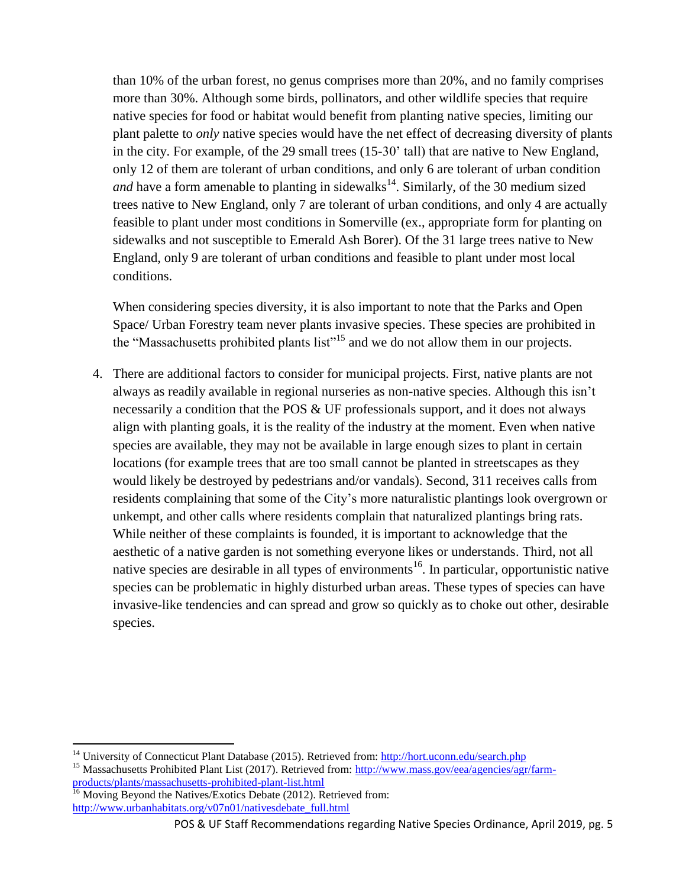than 10% of the urban forest, no genus comprises more than 20%, and no family comprises more than 30%. Although some birds, pollinators, and other wildlife species that require native species for food or habitat would benefit from planting native species, limiting our plant palette to *only* native species would have the net effect of decreasing diversity of plants in the city. For example, of the 29 small trees (15-30' tall) that are native to New England, only 12 of them are tolerant of urban conditions, and only 6 are tolerant of urban condition *and* have a form amenable to planting in sidewalks<sup>14</sup>. Similarly, of the 30 medium sized trees native to New England, only 7 are tolerant of urban conditions, and only 4 are actually feasible to plant under most conditions in Somerville (ex., appropriate form for planting on sidewalks and not susceptible to Emerald Ash Borer). Of the 31 large trees native to New England, only 9 are tolerant of urban conditions and feasible to plant under most local conditions.

When considering species diversity, it is also important to note that the Parks and Open Space/ Urban Forestry team never plants invasive species. These species are prohibited in the "Massachusetts prohibited plants list"<sup>15</sup> and we do not allow them in our projects.

4. There are additional factors to consider for municipal projects. First, native plants are not always as readily available in regional nurseries as non-native species. Although this isn't necessarily a condition that the POS & UF professionals support, and it does not always align with planting goals, it is the reality of the industry at the moment. Even when native species are available, they may not be available in large enough sizes to plant in certain locations (for example trees that are too small cannot be planted in streetscapes as they would likely be destroyed by pedestrians and/or vandals). Second, 311 receives calls from residents complaining that some of the City's more naturalistic plantings look overgrown or unkempt, and other calls where residents complain that naturalized plantings bring rats. While neither of these complaints is founded, it is important to acknowledge that the aesthetic of a native garden is not something everyone likes or understands. Third, not all native species are desirable in all types of environments<sup>16</sup>. In particular, opportunistic native species can be problematic in highly disturbed urban areas. These types of species can have invasive-like tendencies and can spread and grow so quickly as to choke out other, desirable species.

 $\ddot{\phantom{a}}$ 

<sup>&</sup>lt;sup>14</sup> University of Connecticut Plant Database (2015). Retrieved from:<http://hort.uconn.edu/search.php>

<sup>&</sup>lt;sup>15</sup> Massachusetts Prohibited Plant List (2017). Retrieved from: [http://www.mass.gov/eea/agencies/agr/farm](http://www.mass.gov/eea/agencies/agr/farm-products/plants/massachusetts-prohibited-plant-list.html)[products/plants/massachusetts-prohibited-plant-list.html](http://www.mass.gov/eea/agencies/agr/farm-products/plants/massachusetts-prohibited-plant-list.html)

Moving Beyond the Natives/Exotics Debate (2012). Retrieved from: [http://www.urbanhabitats.org/v07n01/nativesdebate\\_full.html](http://www.urbanhabitats.org/v07n01/nativesdebate_full.html)

POS & UF Staff Recommendations regarding Native Species Ordinance, April 2019, pg. 5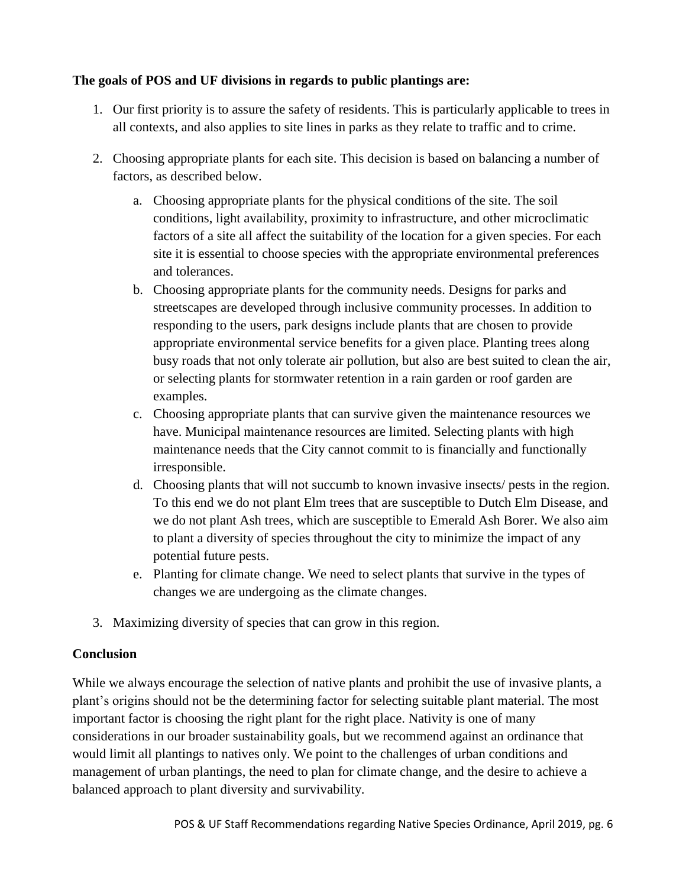#### **The goals of POS and UF divisions in regards to public plantings are:**

- 1. Our first priority is to assure the safety of residents. This is particularly applicable to trees in all contexts, and also applies to site lines in parks as they relate to traffic and to crime.
- 2. Choosing appropriate plants for each site. This decision is based on balancing a number of factors, as described below.
	- a. Choosing appropriate plants for the physical conditions of the site. The soil conditions, light availability, proximity to infrastructure, and other microclimatic factors of a site all affect the suitability of the location for a given species. For each site it is essential to choose species with the appropriate environmental preferences and tolerances.
	- b. Choosing appropriate plants for the community needs. Designs for parks and streetscapes are developed through inclusive community processes. In addition to responding to the users, park designs include plants that are chosen to provide appropriate environmental service benefits for a given place. Planting trees along busy roads that not only tolerate air pollution, but also are best suited to clean the air, or selecting plants for stormwater retention in a rain garden or roof garden are examples.
	- c. Choosing appropriate plants that can survive given the maintenance resources we have. Municipal maintenance resources are limited. Selecting plants with high maintenance needs that the City cannot commit to is financially and functionally irresponsible.
	- d. Choosing plants that will not succumb to known invasive insects/ pests in the region. To this end we do not plant Elm trees that are susceptible to Dutch Elm Disease, and we do not plant Ash trees, which are susceptible to Emerald Ash Borer. We also aim to plant a diversity of species throughout the city to minimize the impact of any potential future pests.
	- e. Planting for climate change. We need to select plants that survive in the types of changes we are undergoing as the climate changes.
- 3. Maximizing diversity of species that can grow in this region.

#### **Conclusion**

While we always encourage the selection of native plants and prohibit the use of invasive plants, a plant's origins should not be the determining factor for selecting suitable plant material. The most important factor is choosing the right plant for the right place. Nativity is one of many considerations in our broader sustainability goals, but we recommend against an ordinance that would limit all plantings to natives only. We point to the challenges of urban conditions and management of urban plantings, the need to plan for climate change, and the desire to achieve a balanced approach to plant diversity and survivability.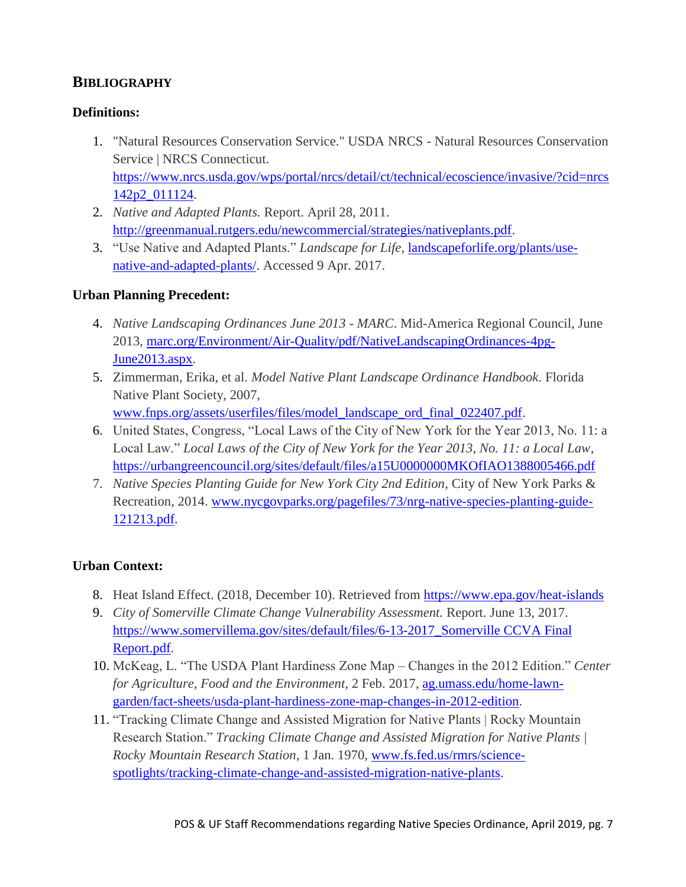## **BIBLIOGRAPHY**

#### **Definitions:**

- 1. "Natural Resources Conservation Service." USDA NRCS Natural Resources Conservation Service | NRCS Connecticut. [https://www.nrcs.usda.gov/wps/portal/nrcs/detail/ct/technical/ecoscience/invasive/?cid=nrcs](https://www.nrcs.usda.gov/wps/portal/nrcs/detail/ct/technical/ecoscience/invasive/?cid=nrcs142p2_011124) [142p2\\_011124.](https://www.nrcs.usda.gov/wps/portal/nrcs/detail/ct/technical/ecoscience/invasive/?cid=nrcs142p2_011124)
- 2. *Native and Adapted Plants.* Report. April 28, 2011. [http://greenmanual.rutgers.edu/newcommercial/strategies/nativeplants.pdf.](http://greenmanual.rutgers.edu/newcommercial/strategies/nativeplants.pdf)
- 3. "Use Native and Adapted Plants." *Landscape for Life*, [landscapeforlife.org/plants/use](http://landscapeforlife.org/plants/use-native-and-adapted-plants/)[native-and-adapted-plants/.](http://landscapeforlife.org/plants/use-native-and-adapted-plants/) Accessed 9 Apr. 2017.

#### **Urban Planning Precedent:**

- 4. *Native Landscaping Ordinances June 2013 - MARC*. Mid-America Regional Council, June 2013, [marc.org/Environment/Air-Quality/pdf/NativeLandscapingOrdinances-4pg-](file://///cos-chb-share1/departments/OHCD/Shared/Transportation%20&%20Infrastructure/URBAN%20FORESTRY%20in%20Somerville/Policies/Native%20plants%20and%20diversity/marc.org/Environment/Air-Quality/pdf/NativeLandscapingOrdinances-4pg-June2013.aspx)[June2013.aspx.](file://///cos-chb-share1/departments/OHCD/Shared/Transportation%20&%20Infrastructure/URBAN%20FORESTRY%20in%20Somerville/Policies/Native%20plants%20and%20diversity/marc.org/Environment/Air-Quality/pdf/NativeLandscapingOrdinances-4pg-June2013.aspx)
- 5. Zimmerman, Erika, et al. *Model Native Plant Landscape Ordinance Handbook*. Florida Native Plant Society, 2007, [www.fnps.org/assets/userfiles/files/model\\_landscape\\_ord\\_final\\_022407.pdf.](http://www.fnps.org/assets/userfiles/files/model_landscape_ord_final_022407.pdf)
- 6. United States, Congress, "Local Laws of the City of New York for the Year 2013, No. 11: a Local Law." *Local Laws of the City of New York for the Year 2013, No. 11: a Local Law*, <https://urbangreencouncil.org/sites/default/files/a15U0000000MKOfIAO1388005466.pdf>
- 7. *Native Species Planting Guide for New York City 2nd Edition*, City of New York Parks & Recreation, 2014. [www.nycgovparks.org/pagefiles/73/nrg-native-species-planting-guide-](http://www.nycgovparks.org/pagefiles/73/nrg-native-species-planting-guide-121213.pdf)[121213.pdf.](http://www.nycgovparks.org/pagefiles/73/nrg-native-species-planting-guide-121213.pdf)

#### **Urban Context:**

- 8. Heat Island Effect. (2018, December 10). Retrieved from<https://www.epa.gov/heat-islands>
- 9. *City of Somerville Climate Change Vulnerability Assessment.* Report. June 13, 2017. [https://www.somervillema.gov/sites/default/files/6-13-2017\\_Somerville CCVA Final](https://www.somervillema.gov/sites/default/files/6-13-2017_Somerville%20CCVA%20Final%20Report.pdf)  [Report.pdf.](https://www.somervillema.gov/sites/default/files/6-13-2017_Somerville%20CCVA%20Final%20Report.pdf)
- 10. McKeag, L. "The USDA Plant Hardiness Zone Map Changes in the 2012 Edition." *Center for Agriculture, Food and the Environment*, 2 Feb. 2017, [ag.umass.edu/home-lawn](file://///cos-chb-share1/departments/OHCD/Shared/Transportation%20&%20Infrastructure/URBAN%20FORESTRY%20in%20Somerville/Policies/Native%20plants%20and%20diversity/ag.umass.edu/home-lawn-garden/fact-sheets/usda-plant-hardiness-zone-map-changes-in-2012-edition)[garden/fact-sheets/usda-plant-hardiness-zone-map-changes-in-2012-edition.](file://///cos-chb-share1/departments/OHCD/Shared/Transportation%20&%20Infrastructure/URBAN%20FORESTRY%20in%20Somerville/Policies/Native%20plants%20and%20diversity/ag.umass.edu/home-lawn-garden/fact-sheets/usda-plant-hardiness-zone-map-changes-in-2012-edition)
- 11. "Tracking Climate Change and Assisted Migration for Native Plants | Rocky Mountain Research Station." *Tracking Climate Change and Assisted Migration for Native Plants | Rocky Mountain Research Station*, 1 Jan. 1970, [www.fs.fed.us/rmrs/science](http://www.fs.fed.us/rmrs/science-spotlights/tracking-climate-change-and-assisted-migration-native-plants)[spotlights/tracking-climate-change-and-assisted-migration-native-plants.](http://www.fs.fed.us/rmrs/science-spotlights/tracking-climate-change-and-assisted-migration-native-plants)